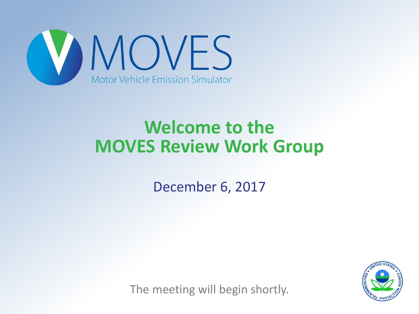

## **Welcome to the MOVES Review Work Group**

December 6, 2017



The meeting will begin shortly.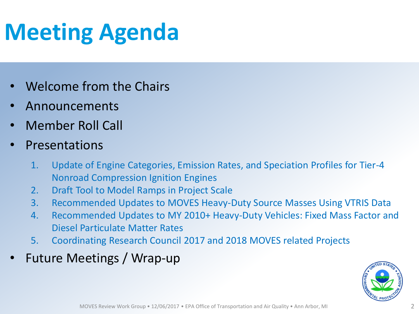## **Meeting Agenda**

- Welcome from the Chairs
- Announcements
- Member Roll Call
- **Presentations** 
	- 1. Update of Engine Categories, Emission Rates, and Speciation Profiles for Tier-4 Nonroad Compression Ignition Engines
	- 2. Draft Tool to Model Ramps in Project Scale
	- 3. Recommended Updates to MOVES Heavy-Duty Source Masses Using VTRIS Data
	- 4. Recommended Updates to MY 2010+ Heavy-Duty Vehicles: Fixed Mass Factor and Diesel Particulate Matter Rates
	- 5. Coordinating Research Council 2017 and 2018 MOVES related Projects
- Future Meetings / Wrap-up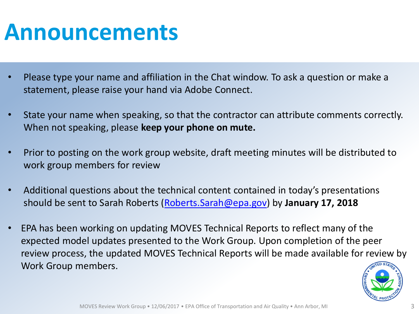## **Announcements**

- Please type your name and affiliation in the Chat window. To ask a question or make a statement, please raise your hand via Adobe Connect.
- State your name when speaking, so that the contractor can attribute comments correctly. When not speaking, please **keep your phone on mute.**
- Prior to posting on the work group website, draft meeting minutes will be distributed to work group members for review
- Additional questions about the technical content contained in today's presentations should be sent to Sarah Roberts [\(Roberts.Sarah@epa.gov\)](mailto:Roberts.Sarah@epa.gov) by **January 17, 2018**
- EPA has been working on updating MOVES Technical Reports to reflect many of the expected model updates presented to the Work Group. Upon completion of the peer review process, the updated MOVES Technical Reports will be made available for review by Work Group members.